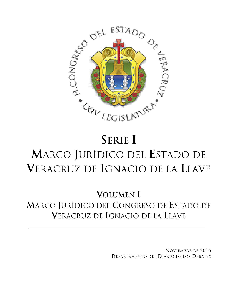

## **SERIE I M**ARCO **J**URÍDICO DEL **E**STADO DE **V**ERACRUZ DE **I**GNACIO DE LA **L**LAVE

**VOLUMEN I M**ARCO **J**URÍDICO DEL **C**ONGRESO DE **E**STADO DE **V**ERACRUZ DE **I**GNACIO DE LA **L**LAVE

> NOVIEMBRE DE 2016 **D**EPARTAMENTO DEL **D**IARIO DE LOS **D**EBATES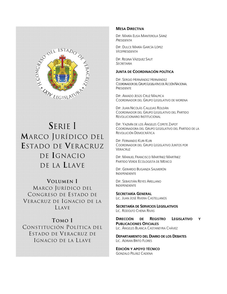

**S**ERIE I **M**ARCO JURÍDICO DEL **E**STADO DE **V**ERACRUZ DE **I**GNACIO DE LA **L**LAVE

**VOLUMEN I**  MARCO JURÍDICO DEL CONGRESO DE ESTADO DE VERACRUZ DE IGNACIO DE LA LLAVE

**TOMO I**  CONSTITUCIÓN POLÍTICA DEL ESTADO DE VERACRUZ DE IGNACIO DE LA LLAVE

## **MESA DIRECTIVA**

DIP. MARÍA ELISA MANTEROLA SÁINZ *PRESIDENTA*

DIP. DULCE MARÍA GARCÍA LÓPEZ *VICEPRESIDENTA*

DIP. REGINA VÁZQUEZ SAUT *SECRETARIA*

## **JUNTA DE COORDINACIÓN POLÍTICA**

DIP. SERGIO HERNÁNDEZ HERNÁNDEZ COORDINADOR DEL GRUPO LEGISLATIVO DE ACCIÓN NACIONAL **PRESIDENTE** 

DIP. AMADO JESÚS CRUZ MALPICA COORDINADOR DEL GRUPO LEGISLATIVO DE MORENA

DIP. JUAN NICOLÁS CALLEJAS ROLDÁN COORDINADOR DEL GRUPO LEGISLATIVO DEL PARTIDO REVOLUCIONARIO INSTITUCIONAL

DIP. YAZMÍN DE LOS ÁNGELES COPETE ZAPOT COORDINADORA DEL GRUPO LEGISLATIVO DEL PARTIDO DE LA REVOLUCIÓN DEMOCRÁTICA

DIP. FERNANDO KURI KURI COORDINADOR DEL GRUPO LEGISLATIVO JUNTOS POR **VERACRUZ** 

DIP. MANUEL FRANCISCO MARTÍNEZ MARTÍNEZ PARTIDO VERDE ECOLOGISTA DE MÉXICO

DIP. GERARDO BUGANZA SALMERÓN INDEPENDIENTE

DIP. SEBASTIÁN REYES ARELLANO INDEPENDIENTE

**SECRETARÍA GENERAL** LIC. JUAN JOSÉ RIVERA CASTELLANOS

**SECRETARÍA DE SERVICIOS LEGISLATIVOS** LIC. RODOLFO CHENA RIVAS

**DIRECCIÓN DE REGISTRO LEGISLATIVO Y PUBLICACIONES OFICIALES** LIC. ÁNGELES BLANCA CASTANEYRA CHÁVEZ

**DEPARTAMENTO DEL DIARIO DE LOS DEBATES** LIC. ADRIAN BRITO FLORES

**EDICIÓN Y APOYO TÉCNICO** GONZALO PELÁEZ CADENA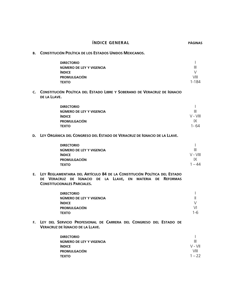|           | <b>ÍNDICE GENERAL</b>                                                                                                                                                                 | <b>PÁGINAS</b>                                      |
|-----------|---------------------------------------------------------------------------------------------------------------------------------------------------------------------------------------|-----------------------------------------------------|
| <b>B.</b> | <b>CONSTITUCIÓN POLÍTICA DE LOS ESTADOS UNIDOS MEXICANOS.</b>                                                                                                                         |                                                     |
|           | <b>DIRECTORIO</b><br>NÚMERO DE LEY Y VIGENCIA<br><b>ÍNDICE</b><br><b>PROMULGACIÓN</b><br><b>TEXTO</b>                                                                                 | $\mathbf{I}$<br>Ш<br>$\vee$<br>VIII<br>$1 - 184$    |
|           | C. CONSTITUCIÓN POLÍTICA DEL ESTADO LIBRE Y SOBERANO DE VERACRUZ DE IGNACIO<br>DE LA LLAVE.                                                                                           |                                                     |
|           | <b>DIRECTORIO</b><br>NÚMERO DE LEY Y VIGENCIA<br><b>ÍNDICE</b><br><b>PROMULGACIÓN</b><br><b>TEXTO</b>                                                                                 | III<br>$V - VIII$<br>IX<br>$1 - 64$                 |
|           | D. LEY ORGÁNICA DEL CONGRESO DEL ESTADO DE VERACRUZ DE IGNACIO DE LA LLAVE.                                                                                                           |                                                     |
|           | <b>DIRECTORIO</b><br>NÚMERO DE LEY Y VIGENCIA<br><b>ÍNDICE</b><br><b>PROMULGACIÓN</b><br><b>TEXTO</b>                                                                                 | I<br>$\mathbf{III}$<br>$V - VIII$<br>IX<br>$1 - 44$ |
|           | E. LEY REGLAMENTARIA DEL ARTÍCULO 84 DE LA CONSTITUCIÓN POLÍTICA DEL ESTADO<br>DE VERACRUZ DE IGNACIO<br>DE LA LLAVE, EN<br>MATERIA DE REFORMAS<br><b>CONSTITUCIONALES PARCIALES.</b> |                                                     |
|           | <b>DIRECTORIO</b><br>NÚMERO DE LEY Y VIGENCIA<br><b>ÍNDICE</b><br><b>PROMULGACIÓN</b><br><b>TEXTO</b>                                                                                 | Ш<br>$\vee$<br>VI<br>$1 - 6$                        |
|           | F. LEY DEL SERVICIO PROFESIONAL DE CARRERA DEL CONGRESO DEL ESTADO DE<br><b>VERACRUZ DE IGNACIO DE LA LLAVE.</b>                                                                      |                                                     |
|           | <b>DIRECTORIO</b><br>NÚMERO DE LEY Y VIGENCIA<br><b>ÍNDICE</b><br><b>PROMULGACIÓN</b><br><b>TEXTO</b>                                                                                 | $\mathbf{III}$<br>$V - VI$<br>VIII<br>$1 - 22$      |